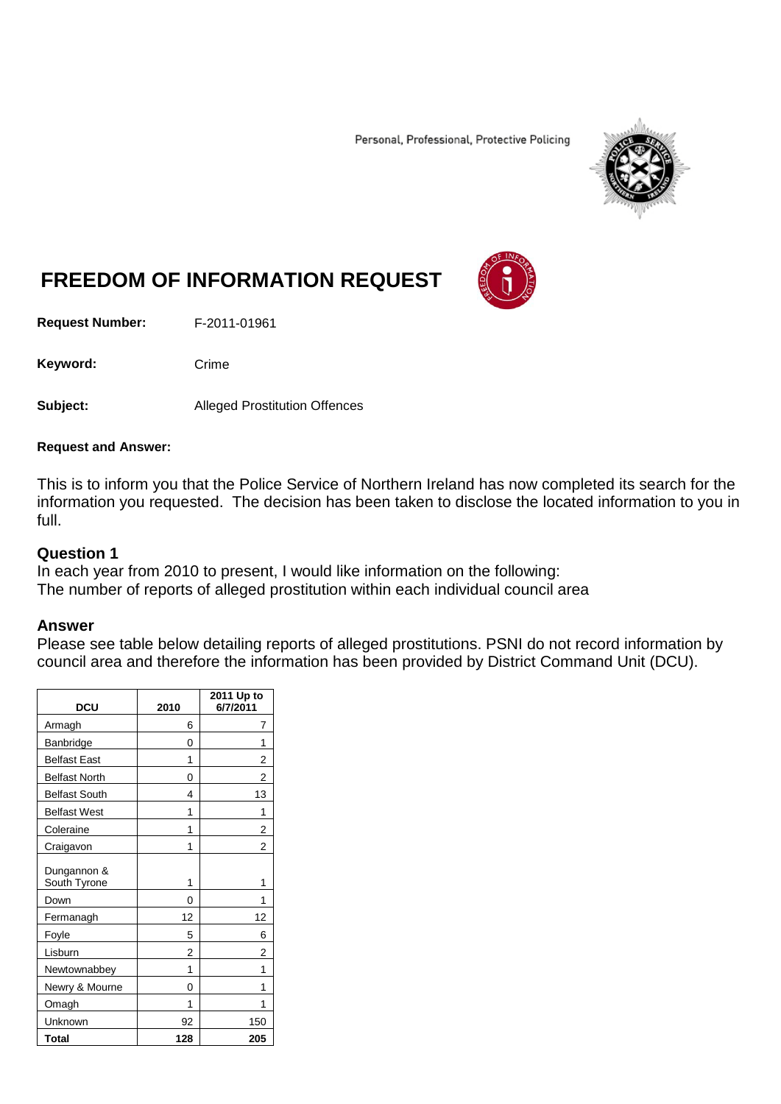Personal, Professional, Protective Policing



# **FREEDOM OF INFORMATION REQUEST**

**Request Number:** F-2011-01961

Keyword: Crime

**Subject:** Alleged Prostitution Offences

#### **Request and Answer:**

This is to inform you that the Police Service of Northern Ireland has now completed its search for the information you requested. The decision has been taken to disclose the located information to you in full.

#### **Question 1**

In each year from 2010 to present, I would like information on the following: The number of reports of alleged prostitution within each individual council area

### **Answer**

Please see table below detailing reports of alleged prostitutions. PSNI do not record information by council area and therefore the information has been provided by District Command Unit (DCU).

| <b>DCU</b>                  | 2010 | 2011 Up to<br>6/7/2011 |
|-----------------------------|------|------------------------|
| Armagh                      | 6    | 7                      |
| Banbridge                   | 0    | 1                      |
| <b>Belfast East</b>         | 1    | 2                      |
| <b>Belfast North</b>        | 0    | 2                      |
| <b>Belfast South</b>        | 4    | 13                     |
| <b>Belfast West</b>         | 1    | 1                      |
| Coleraine                   | 1    | 2                      |
| Craigavon                   | 1    | $\overline{2}$         |
| Dungannon &<br>South Tyrone | 1    | 1                      |
| Down                        | 0    | 1                      |
| Fermanagh                   | 12   | 12                     |
| Foyle                       | 5    | 6                      |
| Lisburn                     | 2    | 2                      |
| Newtownabbey                | 1    |                        |
| Newry & Mourne              | 0    | 1                      |
| Omagh                       | 1    | 1                      |
| Unknown                     | 92   | 150                    |
| Total                       | 128  | 205                    |